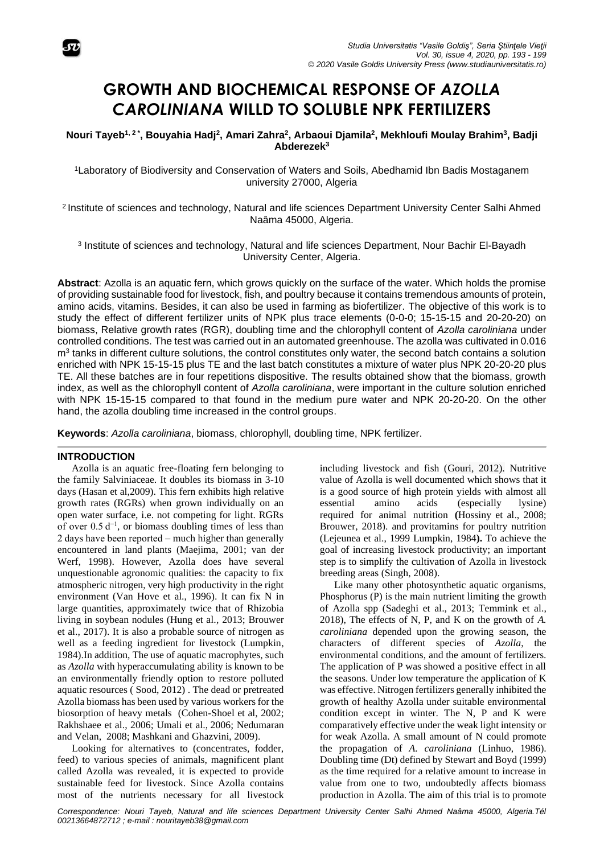

# **GROWTH AND BIOCHEMICAL RESPONSE OF** *AZOLLA CAROLINIANA* **WILLD TO SOLUBLE NPK FERTILIZERS**

**Nouri Tayeb1, <sup>2</sup> \* , Bouyahia Hadj<sup>2</sup> , Amari Zahra<sup>2</sup> , Arbaoui Djamila<sup>2</sup> , Mekhloufi Moulay Brahim<sup>3</sup> , Badji Abderezek 3**

<sup>1</sup>Laboratory of Biodiversity and Conservation of Waters and Soils, Abedhamid Ibn Badis Mostaganem university 27000, Algeria

<sup>2</sup> Institute of sciences and technology, Natural and life sciences Department University Center Salhi Ahmed Naâma 45000, Algeria.

<sup>3</sup> Institute of sciences and technology, Natural and life sciences Department, Nour Bachir El-Bayadh University Center, Algeria.

**Abstract**: Azolla is an aquatic fern, which grows quickly on the surface of the water. Which holds the promise of providing sustainable food for livestock, fish, and poultry because it contains tremendous amounts of protein, amino acids, vitamins. Besides, it can also be used in farming as biofertilizer. The objective of this work is to study the effect of different fertilizer units of NPK plus trace elements (0-0-0; 15-15-15 and 20-20-20) on biomass, Relative growth rates (RGR), doubling time and the chlorophyll content of *Azolla caroliniana* under controlled conditions. The test was carried out in an automated greenhouse. The azolla was cultivated in 0.016  $m<sup>3</sup>$  tanks in different culture solutions, the control constitutes only water, the second batch contains a solution enriched with NPK 15-15-15 plus TE and the last batch constitutes a mixture of water plus NPK 20-20-20 plus TE. All these batches are in four repetitions dispositive. The results obtained show that the biomass, growth index, as well as the chlorophyll content of *Azolla caroliniana*, were important in the culture solution enriched with NPK 15-15-15 compared to that found in the medium pure water and NPK 20-20-20. On the other hand, the azolla doubling time increased in the control groups.

**Keywords**: *Azolla caroliniana*, biomass, chlorophyll, doubling time, NPK fertilizer.

### **INTRODUCTION**

Azolla is an aquatic free-floating fern belonging to the family Salviniaceae. It doubles its biomass in 3-10 days [\(Hasan et al,2009\)](https://www.feedipedia.org/node/8151). This fern exhibits high relative growth rates (RGRs) when grown individually on an open water surface, i.e. not competing for light. RGRs of over  $0.5 d^{-1}$ , or biomass doubling times of less than 2 days have been reported – much higher than generally encountered in land plants (Maejima, 2001; van der Werf, 1998). However, Azolla does have several unquestionable agronomic qualities: the capacity to fix atmospheric nitrogen, very high productivity in the right environment [\(Van Hove et al., 1996\)](https://www.feedipedia.org/node/18081). It can fix N in large quantities, approximately twice that of Rhizobia living in soybean nodules (Hung et al., 2013; Brouwer et al., 2017). It is also a probable source of nitrogen as well as a feeding ingredient for livestock (Lumpkin, 1984).In addition, The use of aquatic macrophytes, such as *Azolla* with hyperaccumulating ability is known to be an environmentally friendly option to restore polluted aquatic resources ( [Sood,](https://www.ncbi.nlm.nih.gov/pubmed/?term=Sood%20A%5BAuthor%5D&cauthor=true&cauthor_uid=22396093) 2012) . The dead or pretreated Azolla biomass has been used by various workers for the biosorption of heavy metals (Cohen-Shoel et al, [2002;](https://www.ncbi.nlm.nih.gov/pmc/articles/PMC3357840/#CR22) Rakhshaee et al., [2006;](https://www.ncbi.nlm.nih.gov/pmc/articles/PMC3357840/#CR84) Umali et al., [2006;](https://www.ncbi.nlm.nih.gov/pmc/articles/PMC3357840/#CR114) Nedumaran and Velan, [2008;](https://www.ncbi.nlm.nih.gov/pmc/articles/PMC3357840/#CR61) Mashkani and Ghazvini, [2009\)](https://www.ncbi.nlm.nih.gov/pmc/articles/PMC3357840/#CR50).

Looking for alternatives to (concentrates, fodder, feed) to various species of animals, magnificent plant called Azolla was revealed, it is expected to provide sustainable feed for livestock. Since Azolla contains most of the nutrients necessary for all livestock

including livestock and fish (Gouri, 2012). Nutritive value of Azolla is well documented which shows that it is a good source of high protein yields with almost all essential amino acids (especially lysine) required for animal nutrition **(**Hossiny et al., 2008; [Brouwer,](https://www.ncbi.nlm.nih.gov/pubmed/?term=Brouwer%20P%5BAuthor%5D&cauthor=true&cauthor_uid=29573358) 2018). and provitamins for poultry nutrition (Lejeunea et al., 1999 Lumpkin, 1984**).** To achieve the goal of increasing livestock productivity; an important step is to simplify the cultivation of Azolla in livestock breeding areas (Singh, 2008).

Like many other photosynthetic aquatic organisms, Phosphorus (P) is the main nutrient limiting the growth of Azolla spp (Sadeghi et al., 2013; Temmink et al., 2018), The effects of N, P, and K on the growth of *A. caroliniana* depended upon the growing season, the characters of different species of *Azolla*, the environmental conditions, and the amount of fertilizers. The application of P was showed a positive effect in all the seasons. Under low temperature the application of K was effective. Nitrogen fertilizers generally inhibited the growth of healthy Azolla under suitable environmental condition except in winter. The N, P and K were comparatively effective under the weak light intensity or for weak Azolla. A small amount of N could promote the propagation of *A. caroliniana* (Linhuo, 1986). Doubling time (Dt) defined by Stewart and Boyd (1999) as the time required for a relative amount to increase in value from one to two, undoubtedly affects biomass production in Azolla. The aim of this trial is to promote

*Correspondence: Nouri Tayeb, Natural and life sciences Department University Center Salhi Ahmed Naâma 45000, Algeria.Tél 00213664872712 ; e-mail : nouritayeb38@gmail.com*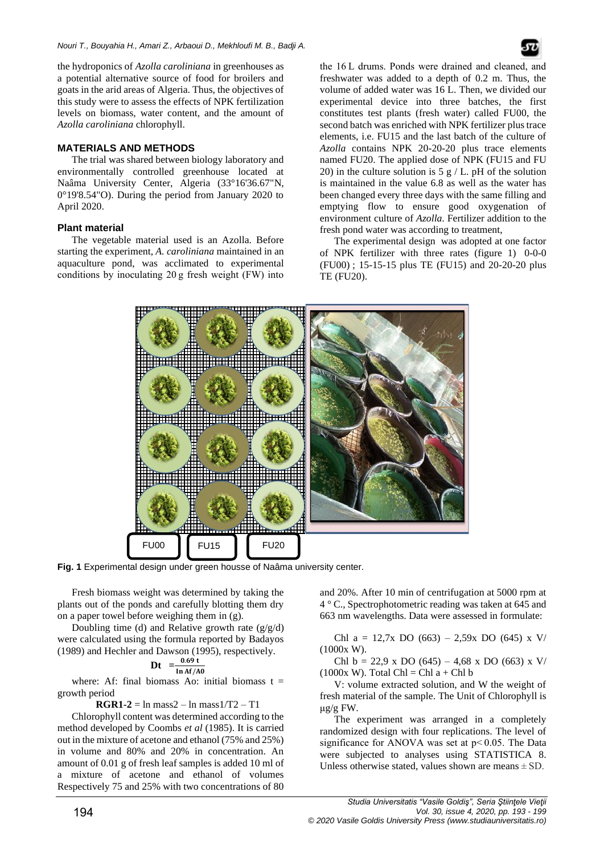the hydroponics of *Azolla caroliniana* in greenhouses as a potential alternative source of food for broilers and goats in the arid areas of Algeria. Thus, the objectives of this study were to assess the effects of NPK fertilization levels on biomass, water content, and the amount of *Azolla caroliniana* chlorophyll.

## **MATERIALS AND METHODS**

The trial was shared between biology laboratory and environmentally controlled greenhouse located at Naâma University Center, Algeria (33°16'36.67"N, 0°19'8.54"O). During the period from January 2020 to April 2020.

## **Plant material**

The vegetable material used is an Azolla. Before starting the experiment, *A. caroliniana* maintained in an aquaculture pond, was acclimated to experimental conditions by inoculating 20 g fresh weight (FW) into

the 16 L drums. Ponds were drained and cleaned, and freshwater was added to a depth of 0.2 m. Thus, the volume of added water was 16 L. Then, we divided our experimental device into three batches, the first constitutes test plants (fresh water) called FU00, the second batch was enriched with NPK fertilizer plus trace elements, i.e. FU15 and the last batch of the culture of *Azolla* contains NPK 20-20-20 plus trace elements named FU20. The applied dose of NPK (FU15 and FU 20) in the culture solution is  $5 g/L$ . pH of the solution is maintained in the value 6.8 as well as the water has been changed every three days with the same filling and emptying flow to ensure good oxygenation of environment culture of *Azolla*. Fertilizer addition to the fresh pond water was according to treatment,

The [experimental design](http://www.scialert.net/asci/result.php?searchin=Keywords&cat=&ascicat=ALL&Submit=Search&keyword=experimental+design) was adopted at one factor of NPK fertilizer with three rates (figure 1) 0-0-0 (FU00) ; 15-15-15 plus TE (FU15) and 20-20-20 plus TE (FU20).



**Fig. 1** Experimental design under green housse of Naâma university center.

Fresh biomass weight was determined by taking the plants out of the ponds and carefully blotting them dry on a paper towel before weighing them in (g).

Doubling time (d) and Relative growth rate  $(g/g/d)$ were calculated using the formula reported by Badayos (1989) and Hechler and Dawson (1995), respectively.

$$
Dt = \frac{0.69 t}{\ln A f/A0}
$$

where: Af: final biomass Ao: initial biomass  $t =$ growth period

**RGR1-2** =  $\ln$  mass $2 - \ln$  mass $1/T2 - T1$ 

Chlorophyll content was determined according to the method developed by Coombs *et al* (1985). It is carried out in the mixture of acetone and ethanol (75% and 25%) in volume and 80% and 20% in concentration. An amount of 0.01 g of fresh leaf samples is added 10 ml of a mixture of acetone and ethanol of volumes Respectively 75 and 25% with two concentrations of 80 and 20%. After 10 min of centrifugation at 5000 rpm at 4 ° C., Spectrophotometric reading was taken at 645 and 663 nm wavelengths. Data were assessed in formulate:

Chl a = 12,7x DO (663) – 2,59x DO (645) x V/ (1000x W).

Chl b = 22,9 x DO (645) – 4,68 x DO (663) x V/  $(1000x W)$ . Total Chl = Chl a + Chl b

V: volume extracted solution, and W the weight of fresh material of the sample. The Unit of Chlorophyll is μg/g FW.

The experiment was arranged in a completely randomized design with four replications. The level of significance for ANOVA was set at  $p<0.05$ . The Data were subjected to analyses using STATISTICA 8. Unless otherwise stated, values shown are means  $\pm$  SD.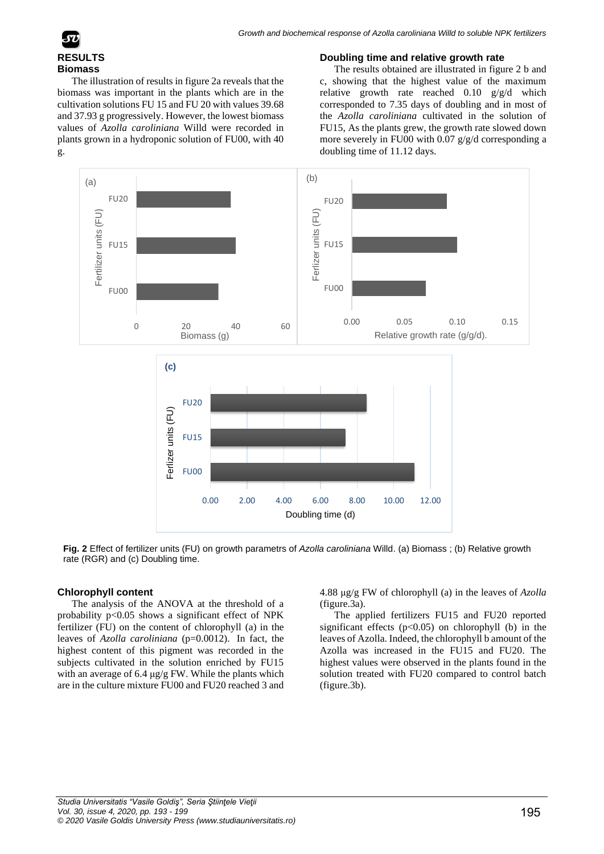

The illustration of results in figure 2a reveals that the biomass was important in the plants which are in the cultivation solutions FU 15 and FU 20 with values 39.68 and 37.93 g progressively. However, the lowest biomass values of *Azolla caroliniana* Willd were recorded in plants grown in a hydroponic solution of FU00, with 40 g.

#### **Doubling time and relative growth rate**

The results obtained are illustrated in figure 2 b and c, showing that the highest value of the maximum relative growth rate reached 0.10 g/g/d which corresponded to 7.35 days of doubling and in most of the *Azolla caroliniana* cultivated in the solution of FU15, As the plants grew, the growth rate slowed down more severely in FU00 with  $0.07$  g/g/d corresponding a doubling time of 11.12 days.



**Fig. 2** Effect of fertilizer units (FU) on growth parametrs of *Azolla caroliniana* Willd. (a) Biomass ; (b) Relative growth rate (RGR) and (c) Doubling time.

## **Chlorophyll content**

The analysis of the ANOVA at the threshold of a probability p<0.05 shows a significant effect of NPK fertilizer (FU) on the content of chlorophyll (a) in the leaves of *Azolla caroliniana* (p=0.0012). In fact, the highest content of this pigment was recorded in the subjects cultivated in the solution enriched by FU15 with an average of 6.4  $\mu$ g/g FW. While the plants which are in the culture mixture FU00 and FU20 reached 3 and 4.88 μg/g FW of chlorophyll (a) in the leaves of *Azolla* (figure.3a).

The applied fertilizers FU15 and FU20 reported significant effects  $(p<0.05)$  on chlorophyll (b) in the leaves of Azolla. Indeed, the chlorophyll b amount of the Azolla was increased in the FU15 and FU20. The highest values were observed in the plants found in the solution treated with FU20 compared to control batch (figure.3b).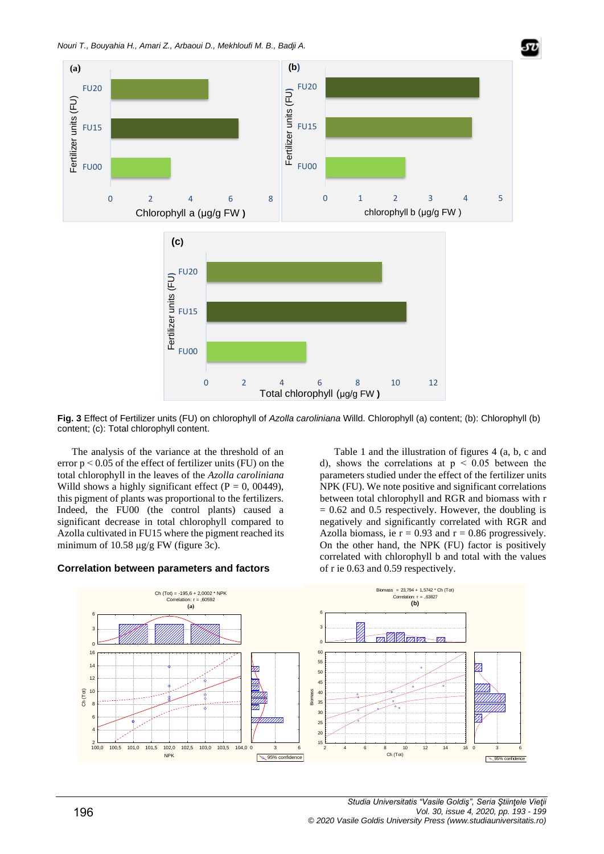



The analysis of the variance at the threshold of an error  $p < 0.05$  of the effect of fertilizer units (FU) on the total chlorophyll in the leaves of the *Azolla caroliniana* Willd shows a highly significant effect ( $P = 0$ , 00449), this pigment of plants was proportional to the fertilizers. Indeed, the FU00 (the control plants) caused a significant decrease in total chlorophyll compared to Azolla cultivated in FU15 where the pigment reached its minimum of 10.58  $\mu$ g/g FW (figure 3c).

# **Correlation between parameters and factors**

Table 1 and the illustration of figures 4 (a, b, c and d), shows the correlations at  $p \leq 0.05$  between the parameters studied under the effect of the fertilizer units NPK (FU). We note positive and significant correlations between total chlorophyll and RGR and biomass with r  $= 0.62$  and 0.5 respectively. However, the doubling is negatively and significantly correlated with RGR and Azolla biomass, ie  $r = 0.93$  and  $r = 0.86$  progressively. On the other hand, the NPK (FU) factor is positively correlated with chlorophyll b and total with the values of r ie 0.63 and 0.59 respectively.

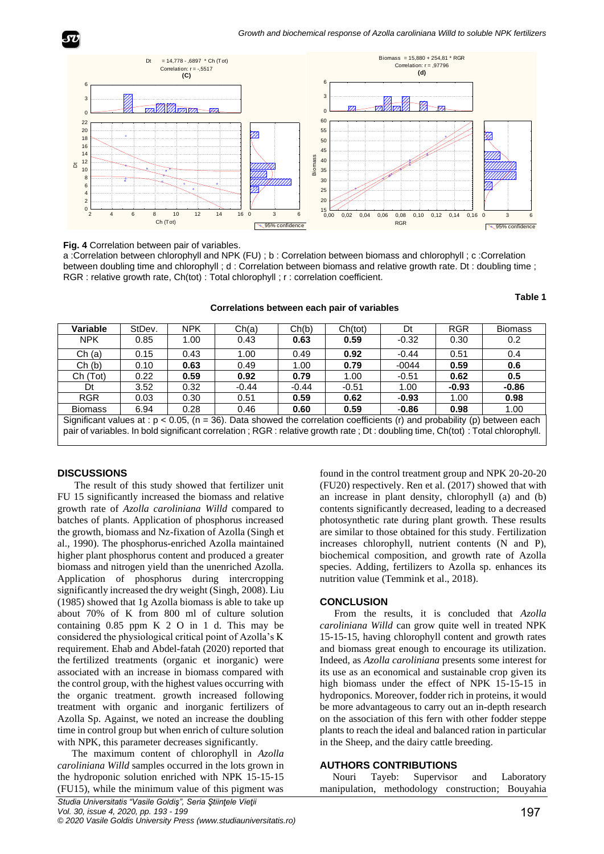

#### **Fig. 4** Correlation between pair of variables.

a :Correlation between chlorophyll and NPK (FU) ; b : Correlation between biomass and chlorophyll ; c :Correlation between doubling time and chlorophyll ; d : Correlation between biomass and relative growth rate. Dt : doubling time ; RGR : relative growth rate, Ch(tot) : Total chlorophyll ; r : correlation coefficient.

**Correlations between each pair of variables**

**Table 1**

| Variable                                                                                                                                                                                                                                                       | StDev. | <b>NPK</b> | Ch(a)   | Ch(b)   | Ch(tot) | Dt      | <b>RGR</b> | <b>Biomass</b> |
|----------------------------------------------------------------------------------------------------------------------------------------------------------------------------------------------------------------------------------------------------------------|--------|------------|---------|---------|---------|---------|------------|----------------|
| <b>NPK</b>                                                                                                                                                                                                                                                     | 0.85   | 1.00       | 0.43    | 0.63    | 0.59    | $-0.32$ | 0.30       | 0.2            |
| Ch(a)                                                                                                                                                                                                                                                          | 0.15   | 0.43       | 1.00    | 0.49    | 0.92    | $-0.44$ | 0.51       | 0.4            |
| Ch(b)                                                                                                                                                                                                                                                          | 0.10   | 0.63       | 0.49    | 1.00    | 0.79    | $-0044$ | 0.59       | 0.6            |
| Ch (Tot)                                                                                                                                                                                                                                                       | 0.22   | 0.59       | 0.92    | 0.79    | 1.00    | $-0.51$ | 0.62       | 0.5            |
| Dt                                                                                                                                                                                                                                                             | 3.52   | 0.32       | $-0.44$ | $-0.44$ | $-0.51$ | 1.00    | $-0.93$    | $-0.86$        |
| <b>RGR</b>                                                                                                                                                                                                                                                     | 0.03   | 0.30       | 0.51    | 0.59    | 0.62    | $-0.93$ | 1.00       | 0.98           |
| <b>Biomass</b>                                                                                                                                                                                                                                                 | 6.94   | 0.28       | 0.46    | 0.60    | 0.59    | $-0.86$ | 0.98       | 1.00           |
| Significant values at : $p < 0.05$ , (n = 36). Data showed the correlation coefficients (r) and probability (p) between each<br>pair of variables. In bold significant correlation; RGR : relative growth rate; Dt: doubling time, Ch(tot): Total chlorophyll. |        |            |         |         |         |         |            |                |

#### **DISCUSSIONS**

The result of this study showed that fertilizer unit FU 15 significantly increased the biomass and relative growth rate of *Azolla caroliniana Willd* compared to batches of plants. Application of phosphorus increased the growth, biomass and Nz-fixation of Azolla (Singh et al., 1990). The phosphorus-enriched Azolla maintained higher plant phosphorus content and produced a greater biomass and nitrogen yield than the unenriched Azolla. Application of phosphorus during intercropping significantly increased the dry weight [\(Singh,](https://www.cambridge.org/core/search?filters%5BauthorTerms%5D=D.%20P.%20Singh&eventCode=SE-AU) 2008). Liu (1985) showed that 1g Azolla biomass is able to take up about 70% of K from 800 ml of culture solution containing 0.85 ppm K 2 O in 1 d. This may be considered the physiological critical point of Azolla's K requirement. Ehab and Abdel-fatah (2020) reported that the fertilized treatments (organic et inorganic) were associated with an increase in biomass compared with the control group, with the highest values occurring with the organic treatment. growth increased following treatment with organic and inorganic fertilizers of Azolla Sp. Against, we noted an increase the doubling time in control group but when enrich of culture solution with NPK, this parameter decreases significantly.

The maximum content of chlorophyll in *Azolla caroliniana Willd* samples occurred in the lots grown in the hydroponic solution enriched with NPK 15-15-15 (FU15), while the minimum value of this pigment was

found in the control treatment group and NPK 20-20-20 (FU20) respectively. Ren et al. (2017) showed that with an increase in plant density, chlorophyll (a) and (b) contents significantly decreased, leading to a decreased photosynthetic rate during plant growth. These results are similar to those obtained for this study. Fertilization increases chlorophyll, nutrient contents (N and P), biochemical composition, and growth rate of Azolla species. Adding, fertilizers to Azolla sp. enhances its nutrition value (Temmink et al., 2018).

#### **CONCLUSION**

From the results, it is concluded that *Azolla caroliniana Willd* can grow quite well in treated NPK 15-15-15, having chlorophyll content and growth rates and biomass great enough to encourage its utilization. Indeed, as *Azolla caroliniana* presents some interest for its use as an economical and sustainable crop given its high biomass under the effect of NPK 15-15-15 in hydroponics. Moreover, fodder rich in proteins, it would be more advantageous to carry out an in-depth research on the association of this fern with other fodder steppe plants to reach the ideal and balanced ration in particular in the Sheep, and the dairy cattle breeding.

#### **AUTHORS CONTRIBUTIONS**

 Nouri Tayeb: Supervisor and Laboratory manipulation, methodology construction; Bouyahia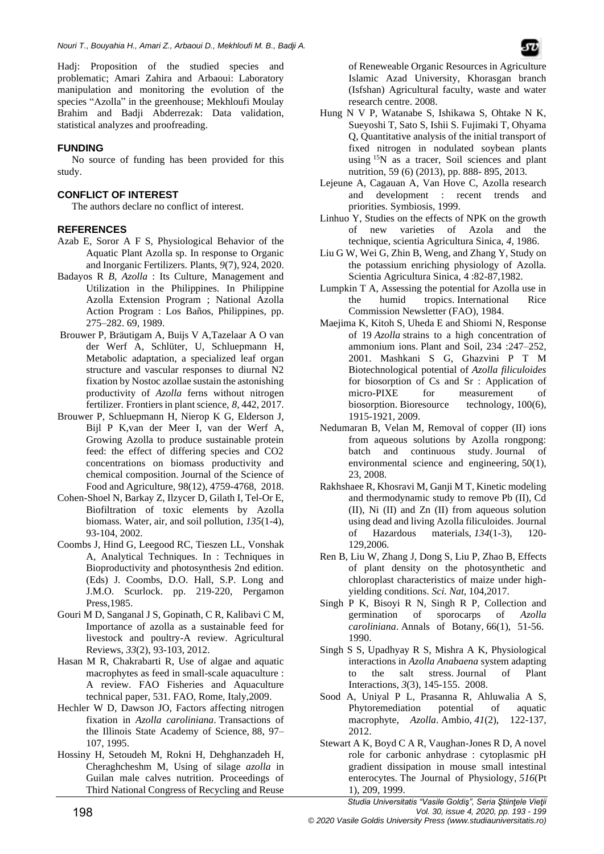Hadj: Proposition of the studied species and problematic; Amari Zahira and Arbaoui: Laboratory manipulation and monitoring the evolution of the species "Azolla" in the greenhouse; Mekhloufi Moulay Brahim and Badji Abderrezak: Data validation, statistical analyzes and proofreading.

# **FUNDING**

No source of funding has been provided for this study.

# **CONFLICT OF INTEREST**

The authors declare no conflict of interest.

# **REFERENCES**

- Azab E, Soror A F S, Physiological Behavior of the Aquatic Plant Azolla sp. In response to Organic and Inorganic Fertilizers. Plants, *9*(7), 924, 2020.
- Badayos R *B, Azolla* : Its Culture, Management and Utilization in the Philippines. In Philippine Azolla Extension Program ; National Azolla Action Program : Los Baños, Philippines, pp. 275–282. 69*,* 1989.
- Brouwer P, Bräutigam A, Buijs V A,Tazelaar A O van der Werf A, Schlüter, U, Schluepmann H, Metabolic adaptation, a specialized leaf organ structure and vascular responses to diurnal N2 fixation by Nostoc azollae sustain the astonishing productivity of *Azolla* ferns without nitrogen fertilizer. Frontiers in plant science, *8*, 442, 2017.
- Brouwer P, Schluepmann H, Nierop K G, Elderson J, Bijl P K,van der Meer I, van der Werf A, Growing Azolla to produce sustainable protein feed: the effect of differing species and CO2 concentrations on biomass productivity and chemical composition. Journal of the Science of Food and Agriculture, 98(12), 4759-4768, 2018.
- Cohen-Shoel N, Barkay Z, Ilzycer D, Gilath I, Tel-Or E, Biofiltration of toxic elements by Azolla biomass. Water, air, and soil pollution, *135*(1-4), 93-104, 2002.
- Coombs J, Hind G, Leegood RC, Tieszen LL, Vonshak A, Analytical Techniques. In : Techniques in Bioproductivity and photosynthesis 2nd edition. (Eds) J. Coombs, D.O. Hall, S.P. Long and J.M.O. Scurlock. pp. 219-220, Pergamon Press,1985.
- Gouri M D, Sanganal J S, Gopinath, C R, Kalibavi C M, Importance of azolla as a sustainable feed for livestock and poultry-A review. Agricultural Reviews, *33*(2), 93-103, 2012.
- Hasan M R, Chakrabarti R, Use of algae and aquatic macrophytes as feed in small-scale aquaculture : A review. FAO Fisheries and Aquaculture technical paper, 531. FAO, Rome, Italy,2009.
- Hechler W D, Dawson JO, Factors affecting nitrogen fixation in *Azolla caroliniana*. Transactions of the Illinois State Academy of Science, 88, 97– 107, 1995.
- Hossiny H, Setoudeh M, Rokni H, Dehghanzadeh H, Cheraghcheshm M, Using of silage *azolla* in Guilan male calves nutrition. Proceedings of Third National Congress of Recycling and Reuse

of Reneweable Organic Resources in Agriculture Islamic Azad University, Khorasgan branch (Isfshan) Agricultural faculty, waste and water research centre. 2008.

- Hung N V P, Watanabe S, Ishikawa S, Ohtake N K, Sueyoshi T, Sato S, Ishii S. Fujimaki T, Ohyama Q, Quantitative analysis of the initial transport of fixed nitrogen in nodulated soybean plants using <sup>15</sup>N as a tracer, Soil sciences and plant nutrition, 59 (6) (2013), pp. 888- 895, 2013.
- Lejeune A, Cagauan A, Van Hove C, Azolla research and development : recent trends and priorities. Symbiosis, 1999.
- Linhuo Y, Studies on the effects of NPK on the growth of new varieties of Azola and the technique, scientia Agricultura Sinica, *4*, 1986.
- Liu G W, Wei G, Zhin B, Weng, and Zhang Y, Study on the potassium enriching physiology of Azolla. Scientia Agricultura Sinica, 4 :82-87,1982.
- Lumpkin T A, Assessing the potential for Azolla use in the humid tropics. International Rice Commission Newsletter (FAO), 1984.
- Maejima K, Kitoh S, Uheda E and Shiomi N, Response of 19 *Azolla* strains to a high concentration of ammonium ions. Plant and Soil, 234 :247–252, 2001. Mashkani S G, Ghazvini P T M Biotechnological potential of *Azolla filiculoides* for biosorption of Cs and Sr : Application of micro-PIXE for measurement of biosorption. Bioresource technology, 100(6), 1915-1921, 2009.
- Nedumaran B, Velan M, Removal of copper (II) ions from aqueous solutions by Azolla rongpong: batch and continuous study. Journal of environmental science and engineering, 50(1), 23, 2008.
- Rakhshaee R, Khosravi M, Ganji M T, Kinetic modeling and thermodynamic study to remove Pb (II), Cd (II), Ni (II) and Zn (II) from aqueous solution using dead and living Azolla filiculoides. Journal of Hazardous materials, *134*(1-3), 120- 129,2006.
- Ren B, Liu W, Zhang J, Dong S, Liu P, Zhao B, Effects of plant density on the photosynthetic and chloroplast characteristics of maize under highyielding conditions. *Sci. Nat,* 104,2017.
- Singh P K, Bisoyi R N, Singh R P, Collection and germination of sporocarps of *Azolla caroliniana*. Annals of Botany, 66(1), 51-56. 1990.
- Singh S S, Upadhyay R S, Mishra A K, Physiological interactions in *Azolla Anabaena* system adapting to the salt stress. Journal of Plant Interactions, *3*(3), 145-155. 2008.
- Sood A, Uniyal P L, Prasanna R, Ahluwalia A S, Phytoremediation potential of aquatic macrophyte, *Azolla*. Ambio, *41*(2), 122-137, 2012.
- Stewart A K, Boyd C A R, Vaughan-Jones R D, A novel role for carbonic anhydrase : cytoplasmic pH gradient dissipation in mouse small intestinal enterocytes. The Journal of Physiology, *516*(Pt 1), 209, 1999.